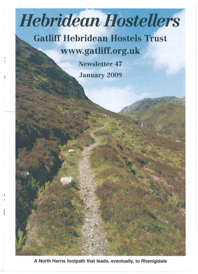# **Hebridean Hostellers**

**Gatliff Hebridean Hostels Trust www.gatliff.org.uk** 

> Newsletter 47 **January 2009**

A North Harris footpath that leads, eventually, to Rhenigidale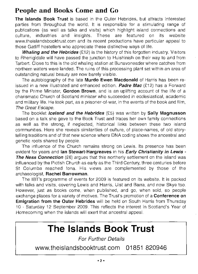#### **People and Books Come and Go**

**The Islands Book Trust** is based in the Outer Hebrides, but attracts interested parties from throughout the world. It is responsible for a stimulating range of publications (as well as talks and visits) which highlight island connections and culture, industries and insights. These are featured on its website www.theislandsbooktrust.com and its recent productions have particular appeal to those Gatliff hostellers who appreciate these distinctive ways of life.

**Whaling and the Hebrides** (£12) is the history of this forgotten industry. Visitors to Rhenigidale will have passed the junction to Huishinish on their way to and from Tarbert. Close to this is the old whaling station at Bunavoneader where catches from northern waters were landed. The ruins of this processing plant set within an area of outstanding natural beauty are now barely visible.

The autobiography of the late **Murdo Ewen Macdonald** of Harris has been reissued in a new illustrated and enhanced edition. **Padre Mac** (£12) has a Forward by the Prime Minister, **Gordon Brown,** and is an uplifting account of the life of a charismatic Church of Scotland minister who succeeded in ecclesiastical, academic and military life. He took part, as a prisoner-of-war, in the events of the book and film, The Great Escape.

The booklet **Iceland and the Hebrides** (£5) was written by **Sally Magnusson**  based on a talk she gave to the Book Trust and traces her own family connections as well as the strong, if neglected, historical links between these two island communities. Here she reveals similarities of culture, of place-names, of old storytelling traditions and of that new science where DNA coding shows the ancestral and genetic roots shared by people.

The influence of the Church remains strong on Lewis. Its presence has been evident for years and **Ian Stewart-Hargreaves** in his **Early Christianity in Lewis - The Ness Connection** (£6) argues that this northerly settlement on the island was influenced by the Pictish Church as early as the Third Century, three centuries before St Columba reached lona. His views are complemented by those of the archaeologist, **Rachel Barrowman.** 

The IBT's programme of events for 2009 is featured on its website. It is packed with talks and visits, covering Lewis and Harris, Uist and Barra, and now Skye too. However, just as books come, when published, and go, when sold, so people exchange places for a variety of motives. The Trust's promotion of a **Conference on Emigration from the Outer Hebrides** will be held on South Harris from Thursday 10 - Saturday 12 September 2009. This reflects the interest in Scotland's Year of Homecoming when the islands will exert that ancestral appeal.

# **The Islands Book Trust**

For Further Details

**www.theislandsbooktrust.com 01851 820946**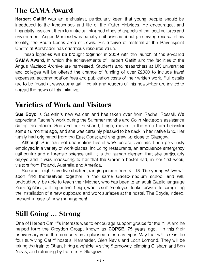#### **The GAMA Award**

**Herbert Gatliff** was an enthusiast, particularly keen that young people should be introduced to the landscapes and life of the Outer Hebrides. He encouraged, and financially assisted, them to make an informed study of aspects of the local cultures and environment. Angus Macleod was equally enthusiastic about preserving records of his locality, the South Lochs area of Lewis. His archive of material at the Ravenspoint Centre at Kershader has enormous resource value.

These legacies will be brought together in 2009 with the launch of the so-called **GAMA Award,** in which the achievements of Herbert Gatliff and the facilities of the Angus Macleod Archive are harnessed. Students and researchers at UK universities and colleges will be offered the chance of funding of over £2000 to include travel expenses, accommodation fees and publication costs of their written work. Full details are to be found at www.gama.gatliff.co.uk and readers of this newsletter are invited to spread the news of this initiative.

#### **Varieties of Work and Visitors**

**Sue Boyd** is Garenin's new warden and has taken over from Rachel Rossall. We appreciate Rachel's work during the Summer months and Colin Macleod's assistance during the interim. Sue and her husband, Leigh, moved to the area from Leicester some 18 months ago, and she was certainly pleased to be back in her native land. Her family had originated from the East Coast and she grew up close to Glasgow.

Although Sue has not undertaken hostel work before, she has been previously employed in a variety of work-places, including restaurants, an ambulance emergency call centre and a forensic science unit. It is the human element that she particularly enjoys and it was reassuring to her that the Garenin hostel had, in her first week, visitors from Poland, Australia and America.

Sue and Leigh have five children, ranging in age from 4 - 18. The youngest two will soon find themselves together in the same Gaelic-medium school and will, undoubtedly, be able to teach their Mother, who has been to an adult Gaelic language learning class, a thing or two. Leigh, who is self-employed, looks forward to completing the installation of a new cupboard and work surfaces at the hostel. The Boyds, indeed, present a case of new management.

## **Still Going ... Strong**

One of Herbert Gatliff's interests was to encourage support groups for the YHA and he helped form the Croydon Group, known as **COPSE,** 75 years ago. In this their anniversary year, the members have planned a ten-day trip in May that will take in the four surviving Gatliff hostels, Kershader, Glen Nevis and Loch Lomond. They will be taking the train to Oban, hiring a vehicle, visiting Stornoway, climbing Clisham and Ben Nevis, and returning by train from Glasgow.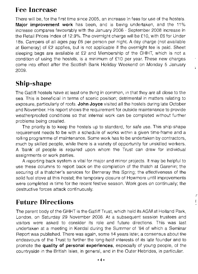#### **Fee Increase**

There will be, for the first time since 2005, an increase in fees for use of the hostels. **Major improvement work** has been, and is being undertaken, and the 11% increase compares favourably with the January 2006 - September 2008 increase in the Retail Prices Index of 12.9%. The overnight charge will be £10, with £6 for Under 18s. Campers of all ages pay £6 per person per night. A day charge (not available at Berneray) of £2 applies, but is not applicable if the overnight fee is paid. Sheet sleeping bags are available at £2 and Membership of the GHHT, which is not a condition of using the hostels, is a minimum of  $£10$  per year. These new charges come into effect after the Scottish Bank Holiday Weekend on Monday 5 January 2009.

# **Ship-shape**

The Gatliff hostels have at least one thing in common, in that they are all close to the sea. This is beneficial in terms of scenic position; detrimental in matters relating to exposure, particularly of roofs. **John Joyce** visited all the hostels during late October and November. His report shows the requirement for outside maintenance to provide weatherproofed conditions so that internal work can be completed without further problems being created.

The priority is to keep the hostels up to standard, for safe use. This ship-shape requirement needs to be with a schedule of works within a given time-frame and a rolling programme of maintenance. Some work has to be undertaken by contractors, much by skilled people, while there is a variety of opportunity for unskilled workers. A 'bank' of people is required upon whom the Trust can draw for individual assignments or work parties.

A reporting back system is vital for major and minor projects. It may be helpful to use these columns to report back on the completion of the thatch at Garenin; the securing of a thatcher's services for Berneray this Spring; the effectiveness of the solid fuel stove at this hostel; the temporary closure of Howmore until improvements were completed in time for the recent festive season. Work goes on continually; the destructive forces attack continuously.

> š į

# **Future Directions**

The parent body of the GHHT is the Gatliff Trust, which held its AGM at Holland Park, London, on Saturday 29 November 2008. At a subsequent session trustees and visitors were asked to consider its role and future directions. This was last undertaken at a meeting in Kendal during the Summer of '94 of which a Seminar Report was published. There was again, some 14 years later, a consensus about the endeavours of the Trust to further the long-held interests of its late founder and to promote the **quality of personal experiences,** especially of young people, of the countryside in the British Isles, in general, and in the Outer Hebrides, in particular.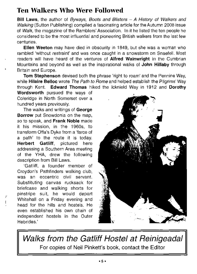#### Ten Walkers Who Were Followed

Bill Laws, the author of Byways, Boots and Blisters  $- A$  History of Walkers and Walking (Sutton Publishing) compiled a fascinating article for the Autumn 2008 issue of Walk, the magazine of the Ramblers' Association. In it he listed the ten people he considered to be the most influential and pioneering British walkers from the last few centuries.

Ellen Weeton may have died in obscurity in 1849, but she was a woman who rambled 'without restraint' and was once caught in a snowstorm on Snaefell. Most readers will have heard of the ventures of Alfred Wainwright in the Cumbrian Mountains and beyond as well as the inspirational walks of John Hillaby through Britain and Europe.

Tom Stephenson devised both the phrase 'right to roam' and the Pennine Way, while Hilaire Belloc wrote The Path to Rome and helped establish the Pilgrims' Way through Kent. Edward Thomas hiked the Icknield Way in 1912 and Dorothy

Wordsworth pursued the ways of Coleridge in North Somerset over a hundred years previously.

The walks and writings of George Borrow put Snowdonia on the map, so to speak, and Frank Noble made it his mission, in the 1960s, to transform Offa's Dyke from a 'farce of a path' to the route it is today. Herbert Gatliff, pictured here addressing a Southern Area meeting of the YHA, drew the following description from Bill Laws.

'Gatliff, a founder member of Croydon's Pathfinders walking club, was an eccentric civil servant. Substituting canvas rucksack for briefcase and walking shorts for pinstripe suit, he would depart Whitehall on a Friday evening and head for the hills and hostels. He even established his own chain of independent hostels in the Outer  $\mathsf{Hebrides}$ .'  $\mathsf{Hebrides}$ .'  $\mathsf{Hebrides}$ .'  $\mathsf{Hebrides}$ .'  $\mathsf{Hebrides}$ .'  $\mathsf{Hebrides}$ .'  $\mathsf{Hebrides}$ .'  $\mathsf{Hebrides}$ .'  $\mathsf{Hebrides}$ .'  $\mathsf{Hebrides}$ .'  $\mathsf{Hebrides}$ .'  $\mathsf{Hebrides}$ .'  $\mathsf{Hebrides}$ .'  $\mathsf{Hebrides}$ .'  $\mathsf{Hebrides}$ .'  $\mathsf{Hebrides}$ .'  $\mathsf{Hebrides}$ .'



Walks from the Gatliff Hostel at Reinigeadal For copies of Neil Pinkett's book, contact the Editor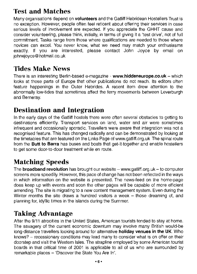# **Test and Matches**

Many organisations depend on **volunteers** and the Gatliff Hebridean Hostellers Trust is no exception. However, people often feel reticent about offering their services in case serious levels of involvement are expected. If you appreciate the GHHT cause and consider volunteering, please think, initially, in terms of giving it a 'test drive', not of full commitment. Tasks range from those where qualifications are needed to those where novices can excel. You never know, what we need may match your enthusiasms exactly. If you are interested, please contact John Joyce by email on johnejoyce@ hotmail.co. uk

#### **Tides Make News**

There is an interesting Berlin-based e-magazine - **www.hiddeneurope.co.uk** - which looks at those parts of Europe that other publications do not reach. Its editors often feature happenings in the Outer Hebrides. A recent item drew attention to the abnormally low-tides that sometimes affect the ferry movements between Leverburgh and Berneray.

#### **Destination and Integration**

In the early days of the Gatliff hostels there were often several obstacles to getting to destinations efficiently. Transport services on land, water and air were sometimes infrequent and occasionally sporadic. Travellers were aware that integration was not a recognised feature. This has changed radically and can be demonstrated by looking at the timetables that are featured on the Links Page of www.gatliff.org.uk The spinal route from the **Butt to Barra** has buses and boats that get-it-together and enable hostellers to get some door-to-door treatment while en route.

# **Matching Speeds**

The **broadband revolution** has brought our website - www.gatliff.org.uk - to computer screens more speedily. However, this pace of change has not been reflected in the ways in which information on the website is presented. The news-feed on the home-page does keep up with events and soon the other pages will be capable of more efficient amending. The site is migrating to a new content management system. Even during the Winter months the site draws a hundred visitors a week – those dreaming of, and planning for, idyllic times in the islands during the Summer.

## **Taking Advantage**

After the 9/11 atrocities in the United States, American tourists tended to stay at home. The savagery of the current economic downturn may involve many British would-be long-distance travellers looking around for alternative **holiday venues in the UK.** Who knows? - recessionary conditions may lead many to consider what is on offer on their doorstep and visit the Western Isles. The strapline employed by some American tourist boards in that critical time of 2001 is applicable to all of us who are surrounded by remarkable places - 'Discover the State You Are In'.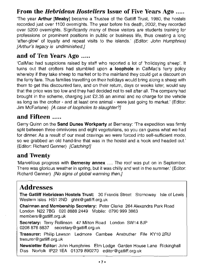#### **From the** *Hebridean Hostellers* **Issue of Five Years Ago .....**

'The year **Arthur [Meaby]** became a Trustee of the Gatliff Trust, 1980, the hostels recorded just over 1100 overnights. The year before his death, 2002, they recorded over 5200 overnights. Significantly many of these visitors are students training for professions or prominent positions in public or business life, thus creating a long 'after-glow' of loyalty and repeat visits to the islands.' (Editor: John Humphries) [Arthur's legacy is undiminished.]

#### **and of Ten Years Ago .....**

'CalMac had suspicions raised by staff who reported a lot of 'holidaying sheep'. It turns out that crofters had stumbled upon **a loophole** in Cal Mac's ferry policy whereby if they take sheep to market or to the mainland they could get a discount on the ferry fare. Thus families travelling on their holidays would bring along a sheep with them to get this discounted fare, and on their return, days or weeks later, would say that the price was too low and they had decided not to sell after all. The company had brought in the scheme, charging just £2.35 an animal and no charge for the vehicle as long as the crofter - and at least one animal - were just going to market.' (Editor: Jim McFarlane) [A case of loopholes to slaughter?]

#### **and Fifteen .....**

Gerry Quinn on the **Sand Dunes Workparty** at Berneray: 'The expedition was firmly split between three omnivores and eight vegetarians, so you can guess what we had for dinner. As a result of our meat cravings we were forced into self-sufficient mode, so we grabbed an old hand-line that was in the hostel and a hook and headed out.' (Editor: Richard Genner) [Catching!]

#### **and Twenty**

'Marvellous progress with **Berneray annex** .... The roof was put on in September. There was glorious weather in spring, but it was chilly and wet in the summer.' (Editor: Richard Genner) [No signs of global warming then.]

#### **Addresses**

**The Gatliff Hebridean Hostels Trust:** 30 Francis Street Stornoway Isle of Lewis Western Isles HS1 2ND ghht@gatliff.org.uk

**Chairman and Membership Secretary:** Peter Clarke 264 Alexandra Park Road London N22 7BG 020 8888 2449 Mobile: 0790 999 3863 members@gatliff.org.uk

**Secretary:** Terry Rollinson 47 Milton Road London SW148JP 02088768837 secretary@gatliff.org.uk

**Treasurer:** Philip Lawson Ledmore Carnbee Anstruther Fife KY10 2RU tresurer@gatliff.org.uk

**Newsletter Editor:** John Humphries Elm Lodge Garden House Lane Rickinghall Diss Norfolk IP22 1EA 01379 890270 editor@gatliff.org.uk